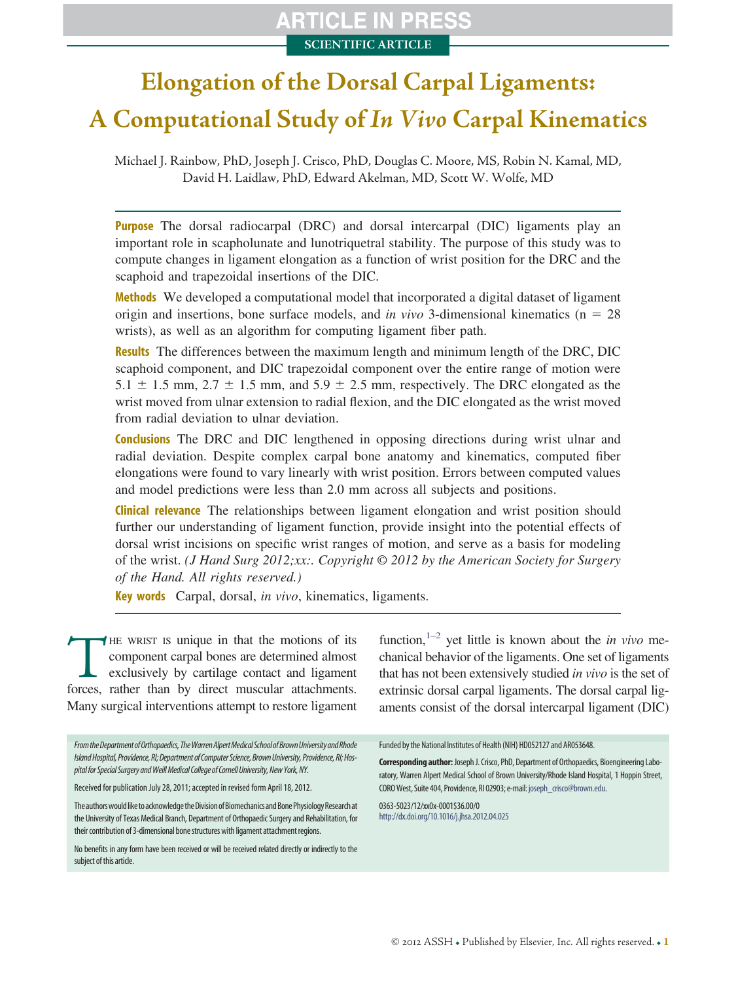**Elongation of the Dorsal Carpal Ligaments: A Computational Study of** *In Vivo* **Carpal Kinematics**

Michael J. Rainbow, PhD, Joseph J. Crisco, PhD, Douglas C. Moore, MS, Robin N. Kamal, MD, David H. Laidlaw, PhD, Edward Akelman, MD, Scott W. Wolfe, MD

**Purpose** The dorsal radiocarpal (DRC) and dorsal intercarpal (DIC) ligaments play an important role in scapholunate and lunotriquetral stability. The purpose of this study was to compute changes in ligament elongation as a function of wrist position for the DRC and the scaphoid and trapezoidal insertions of the DIC.

**Methods** We developed a computational model that incorporated a digital dataset of ligament origin and insertions, bone surface models, and *in vivo* 3-dimensional kinematics ( $n = 28$ ) wrists), as well as an algorithm for computing ligament fiber path.

**Results** The differences between the maximum length and minimum length of the DRC, DIC scaphoid component, and DIC trapezoidal component over the entire range of motion were  $5.1 \pm 1.5$  mm,  $2.7 \pm 1.5$  mm, and  $5.9 \pm 2.5$  mm, respectively. The DRC elongated as the wrist moved from ulnar extension to radial flexion, and the DIC elongated as the wrist moved from radial deviation to ulnar deviation.

**Conclusions** The DRC and DIC lengthened in opposing directions during wrist ulnar and radial deviation. Despite complex carpal bone anatomy and kinematics, computed fiber elongations were found to vary linearly with wrist position. Errors between computed values and model predictions were less than 2.0 mm across all subjects and positions.

**Clinical relevance** The relationships between ligament elongation and wrist position should further our understanding of ligament function, provide insight into the potential effects of dorsal wrist incisions on specific wrist ranges of motion, and serve as a basis for modeling of the wrist. *(J Hand Surg 2012;xx:. Copyright © 2012 by the American Society for Surgery of the Hand. All rights reserved.)*

**Key words** Carpal, dorsal, *in vivo*, kinematics, ligaments.

THE WRIST IS unique in that the motions of its<br>component carpal bones are determined almost<br>exclusively by cartilage contact and ligament<br>forces, rather than by direct muscular attachments. component carpal bones are determined almost exclusively by cartilage contact and ligament forces, rather than by direct muscular attachments. Many surgical interventions attempt to restore ligament function,  $1-2$  yet little is known about the *in vivo* mechanical behavior of the ligaments. One set of ligaments that has not been extensively studied *in vivo* is the set of extrinsic dorsal carpal ligaments. The dorsal carpal ligaments consist of the dorsal intercarpal ligament (DIC)

| From the Department of Orthopaedics, The Warren Alpert Medical School of Brown University and Rhode     |
|---------------------------------------------------------------------------------------------------------|
| -Island Hospital, Providence, RI: Department of Computer Science, Brown University, Providence, RI: Hos |
| pital for Special Surgery and Weill Medical College of Cornell University, New York, NY.                |

Received for publication July 28, 2011; accepted in revised form April 18, 2012.

The authors would like to acknowledge the Division of Biomechanics and Bone Physiology Research at the University of Texas Medical Branch, Department of Orthopaedic Surgery and Rehabilitation, for their contribution of 3-dimensional bone structures with ligament attachment regions.

No benefits in any form have been received or will be received related directly or indirectly to the subject of this article.

Funded by the National Institutes of Health (NIH) HD052127 and AR053648.

**Corresponding author:**JosephJ. Crisco, PhD, Department of Orthopaedics, Bioengineering Laboratory, Warren Alpert Medical School of Brown University/Rhode Island Hospital, 1 Hoppin Street, COROWest, Suite 404, Providence, RI 02903; e-mail: [joseph\\_crisco@brown.edu.](mailto:joseph_crisco@brown.edu)

0363-5023/12/xx0x-0001\$36.00/0 <http://dx.doi.org/10.1016/j.jhsa.2012.04.025>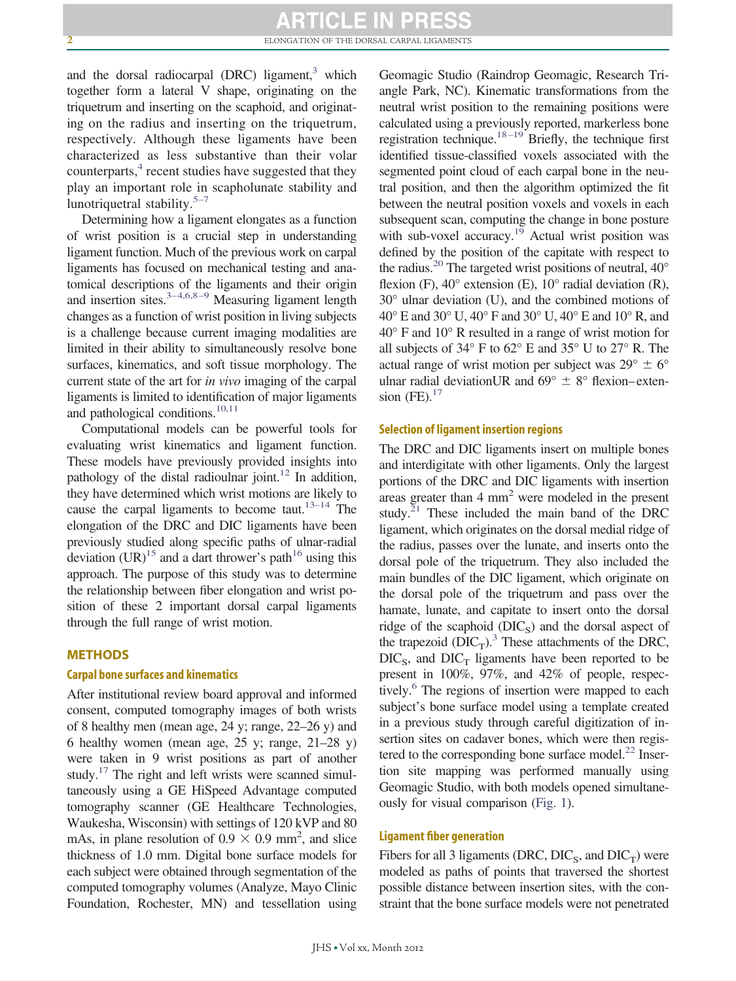and the dorsal radiocarpal  $(DRC)$  ligament,<sup>3</sup> which together form a lateral V shape, originating on the triquetrum and inserting on the scaphoid, and originating on the radius and inserting on the triquetrum, respectively. Although these ligaments have been characterized as less substantive than their volar counterparts, $4$  recent studies have suggested that they play an important role in scapholunate stability and lunotriquetral stability. $5-7$ 

Determining how a ligament elongates as a function of wrist position is a crucial step in understanding ligament function. Much of the previous work on carpal ligaments has focused on mechanical testing and anatomical descriptions of the ligaments and their origin and insertion sites. $3-4,6,8-9$  Measuring ligament length changes as a function of wrist position in living subjects is a challenge because current imaging modalities are limited in their ability to simultaneously resolve bone surfaces, kinematics, and soft tissue morphology. The current state of the art for *in vivo* imaging of the carpal ligaments is limited to identification of major ligaments and pathological conditions.<sup>10,11</sup>

Computational models can be powerful tools for evaluating wrist kinematics and ligament function. These models have previously provided insights into pathology of the distal radioulnar joint.<sup>12</sup> In addition, they have determined which wrist motions are likely to cause the carpal ligaments to become taut.<sup>13–14</sup> The elongation of the DRC and DIC ligaments have been previously studied along specific paths of ulnar-radial deviation  $(UR)^{15}$  and a dart thrower's path<sup>16</sup> using this approach. The purpose of this study was to determine the relationship between fiber elongation and wrist position of these 2 important dorsal carpal ligaments through the full range of wrist motion.

#### **METHODS**

#### **Carpal bone surfaces and kinematics**

After institutional review board approval and informed consent, computed tomography images of both wrists of 8 healthy men (mean age, 24 y; range, 22–26 y) and 6 healthy women (mean age, 25 y; range, 21–28 y) were taken in 9 wrist positions as part of another study.<sup>17</sup> The right and left wrists were scanned simultaneously using a GE HiSpeed Advantage computed tomography scanner (GE Healthcare Technologies, Waukesha, Wisconsin) with settings of 120 kVP and 80 mAs, in plane resolution of  $0.9 \times 0.9$  mm<sup>2</sup>, and slice thickness of 1.0 mm. Digital bone surface models for each subject were obtained through segmentation of the computed tomography volumes (Analyze, Mayo Clinic Foundation, Rochester, MN) and tessellation using

Geomagic Studio (Raindrop Geomagic, Research Triangle Park, NC). Kinematic transformations from the neutral wrist position to the remaining positions were calculated using a previously reported, markerless bone registration technique.<sup>18-19</sup> Briefly, the technique first identified tissue-classified voxels associated with the segmented point cloud of each carpal bone in the neutral position, and then the algorithm optimized the fit between the neutral position voxels and voxels in each subsequent scan, computing the change in bone posture with sub-voxel accuracy.<sup>19</sup> Actual wrist position was defined by the position of the capitate with respect to the radius.<sup>20</sup> The targeted wrist positions of neutral, 40° flexion (F),  $40^{\circ}$  extension (E),  $10^{\circ}$  radial deviation (R), 30° ulnar deviation (U), and the combined motions of 40° E and 30° U, 40° F and 30° U, 40° E and 10° R, and 40° F and 10° R resulted in a range of wrist motion for all subjects of 34° F to 62° E and 35° U to 27° R. The actual range of wrist motion per subject was  $29^{\circ} \pm 6^{\circ}$ ulnar radial deviationUR and  $69^{\circ} \pm 8^{\circ}$  flexion–extension  $(FE)$ .<sup>17</sup>

#### **Selection of ligament insertion regions**

The DRC and DIC ligaments insert on multiple bones and interdigitate with other ligaments. Only the largest portions of the DRC and DIC ligaments with insertion areas greater than 4 mm<sup>2</sup> were modeled in the present study. $21$  These included the main band of the DRC ligament, which originates on the dorsal medial ridge of the radius, passes over the lunate, and inserts onto the dorsal pole of the triquetrum. They also included the main bundles of the DIC ligament, which originate on the dorsal pole of the triquetrum and pass over the hamate, lunate, and capitate to insert onto the dorsal ridge of the scaphoid  $(DIC<sub>S</sub>)$  and the dorsal aspect of the trapezoid ( $\text{DIC}_{\text{T}}$ ).<sup>3</sup> These attachments of the DRC,  $DIC<sub>S</sub>$ , and  $DIC<sub>T</sub>$  ligaments have been reported to be present in 100%, 97%, and 42% of people, respectively.<sup>6</sup> The regions of insertion were mapped to each subject's bone surface model using a template created in a previous study through careful digitization of insertion sites on cadaver bones, which were then registered to the corresponding bone surface model. $^{22}$  Insertion site mapping was performed manually using Geomagic Studio, with both models opened simultaneously for visual comparison [\(Fig. 1\)](#page-2-0).

#### **Ligament fiber generation**

Fibers for all 3 ligaments (DRC,  $DIC_{S}$ , and  $DIC_{T}$ ) were modeled as paths of points that traversed the shortest possible distance between insertion sites, with the constraint that the bone surface models were not penetrated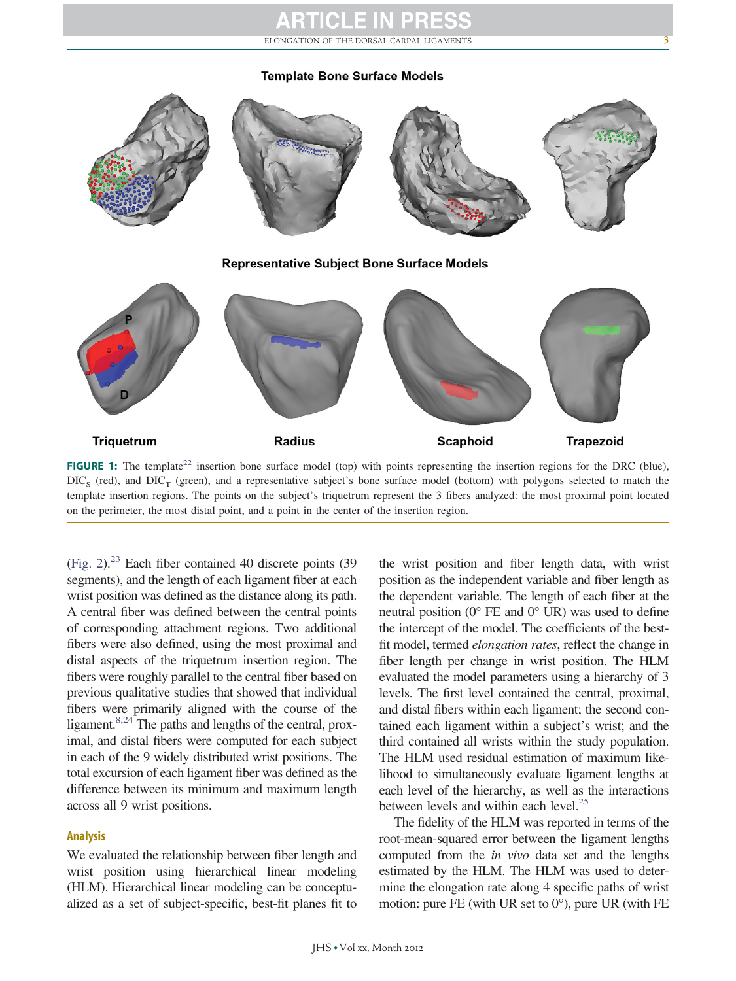# ELONGATION OF THE DORSAL CARPAL LIGAMENTS **3**

# **Template Bone Surface Models**



<span id="page-2-0"></span>**FIGURE 1:** The template<sup>22</sup> insertion bone surface model (top) with points representing the insertion regions for the DRC (blue),  $DIC<sub>S</sub>$  (red), and  $DIC<sub>T</sub>$  (green), and a representative subject's bone surface model (bottom) with polygons selected to match the template insertion regions. The points on the subject's triquetrum represent the 3 fibers analyzed: the most proximal point located on the perimeter, the most distal point, and a point in the center of the insertion region.

[\(Fig. 2\)](#page-3-0). $^{23}$  Each fiber contained 40 discrete points (39) segments), and the length of each ligament fiber at each wrist position was defined as the distance along its path. A central fiber was defined between the central points of corresponding attachment regions. Two additional fibers were also defined, using the most proximal and distal aspects of the triquetrum insertion region. The fibers were roughly parallel to the central fiber based on previous qualitative studies that showed that individual fibers were primarily aligned with the course of the ligament. $8,24$  The paths and lengths of the central, proximal, and distal fibers were computed for each subject in each of the 9 widely distributed wrist positions. The total excursion of each ligament fiber was defined as the difference between its minimum and maximum length across all 9 wrist positions.

### **Analysis**

We evaluated the relationship between fiber length and wrist position using hierarchical linear modeling (HLM). Hierarchical linear modeling can be conceptualized as a set of subject-specific, best-fit planes fit to

the wrist position and fiber length data, with wrist position as the independent variable and fiber length as the dependent variable. The length of each fiber at the neutral position ( $0^{\circ}$  FE and  $0^{\circ}$  UR) was used to define the intercept of the model. The coefficients of the bestfit model, termed *elongation rates*, reflect the change in fiber length per change in wrist position. The HLM evaluated the model parameters using a hierarchy of 3 levels. The first level contained the central, proximal, and distal fibers within each ligament; the second contained each ligament within a subject's wrist; and the third contained all wrists within the study population. The HLM used residual estimation of maximum likelihood to simultaneously evaluate ligament lengths at each level of the hierarchy, as well as the interactions between levels and within each level. $25$ 

The fidelity of the HLM was reported in terms of the root-mean-squared error between the ligament lengths computed from the *in vivo* data set and the lengths estimated by the HLM. The HLM was used to determine the elongation rate along 4 specific paths of wrist motion: pure FE (with UR set to  $0^{\circ}$ ), pure UR (with FE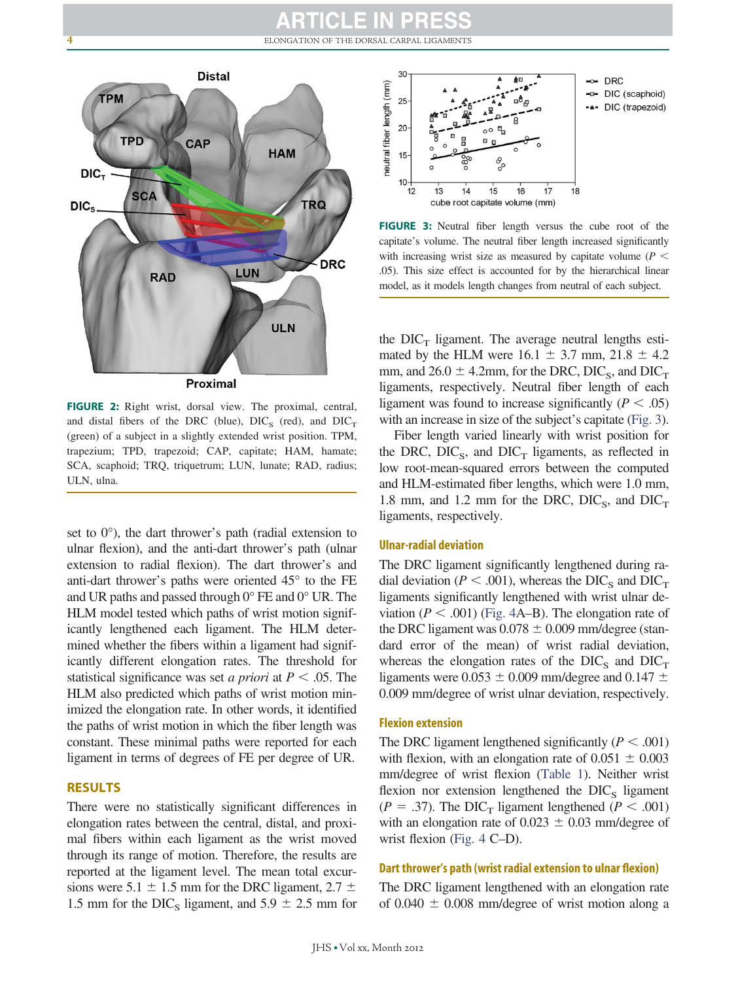# CLE IN

**4** ELONGATION OF THE DORSAL CARPAL LIGAMENTS



Proximal

<span id="page-3-0"></span>**FIGURE 2:** Right wrist, dorsal view. The proximal, central, and distal fibers of the DRC (blue),  $DIC_S$  (red), and  $DIC_T$ (green) of a subject in a slightly extended wrist position. TPM, trapezium; TPD, trapezoid; CAP, capitate; HAM, hamate; SCA, scaphoid; TRQ, triquetrum; LUN, lunate; RAD, radius; ULN, ulna.

set to  $0^{\circ}$ ), the dart thrower's path (radial extension to ulnar flexion), and the anti-dart thrower's path (ulnar extension to radial flexion). The dart thrower's and anti-dart thrower's paths were oriented 45° to the FE and UR paths and passed through 0° FE and 0° UR. The HLM model tested which paths of wrist motion significantly lengthened each ligament. The HLM determined whether the fibers within a ligament had significantly different elongation rates. The threshold for statistical significance was set *a priori* at  $P \leq .05$ . The HLM also predicted which paths of wrist motion minimized the elongation rate. In other words, it identified the paths of wrist motion in which the fiber length was constant. These minimal paths were reported for each ligament in terms of degrees of FE per degree of UR.

### **RESULTS**

There were no statistically significant differences in elongation rates between the central, distal, and proximal fibers within each ligament as the wrist moved through its range of motion. Therefore, the results are reported at the ligament level. The mean total excursions were 5.1  $\pm$  1.5 mm for the DRC ligament, 2.7  $\pm$ 1.5 mm for the DIC<sub>S</sub> ligament, and  $5.9 \pm 2.5$  mm for



<span id="page-3-1"></span>**FIGURE 3:** Neutral fiber length versus the cube root of the capitate's volume. The neutral fiber length increased significantly with increasing wrist size as measured by capitate volume  $(P \leq$ .05). This size effect is accounted for by the hierarchical linear model, as it models length changes from neutral of each subject.

the  $DIC<sub>T</sub>$  ligament. The average neutral lengths estimated by the HLM were  $16.1 \pm 3.7$  mm,  $21.8 \pm 4.2$ mm, and  $26.0 \pm 4.2$ mm, for the DRC, DIC<sub>S</sub>, and DIC<sub>T</sub> ligaments, respectively. Neutral fiber length of each ligament was found to increase significantly  $(P < .05)$ with an increase in size of the subject's capitate [\(Fig. 3\)](#page-3-1).

Fiber length varied linearly with wrist position for the DRC,  $DIC_S$ , and  $DIC_T$  ligaments, as reflected in low root-mean-squared errors between the computed and HLM-estimated fiber lengths, which were 1.0 mm, 1.8 mm, and 1.2 mm for the DRC,  $DIC_{S}$ , and  $DIC_{T}$ ligaments, respectively.

#### **Ulnar-radial deviation**

The DRC ligament significantly lengthened during radial deviation ( $P < .001$ ), whereas the DIC<sub>S</sub> and DIC<sub>T</sub> ligaments significantly lengthened with wrist ulnar deviation  $(P < .001)$  [\(Fig. 4A](#page-4-0)–B). The elongation rate of the DRC ligament was  $0.078 \pm 0.009$  mm/degree (standard error of the mean) of wrist radial deviation, whereas the elongation rates of the  $DIC<sub>S</sub>$  and  $DIC<sub>T</sub>$ ligaments were  $0.053 \pm 0.009$  mm/degree and  $0.147 \pm 0.009$ 0.009 mm/degree of wrist ulnar deviation, respectively.

### **Flexion extension**

The DRC ligament lengthened significantly  $(P < .001)$ with flexion, with an elongation rate of  $0.051 \pm 0.003$ mm/degree of wrist flexion [\(Table 1\)](#page-4-1). Neither wrist flexion nor extension lengthened the  $DIC<sub>s</sub>$  ligament  $(P = .37)$ . The DIC<sub>T</sub> ligament lengthened ( $P < .001$ ) with an elongation rate of  $0.023 \pm 0.03$  mm/degree of wrist flexion [\(Fig. 4](#page-4-0) C–D).

#### **Dart thrower's path (wrist radial extension to ulnar flexion)**

The DRC ligament lengthened with an elongation rate of  $0.040 \pm 0.008$  mm/degree of wrist motion along a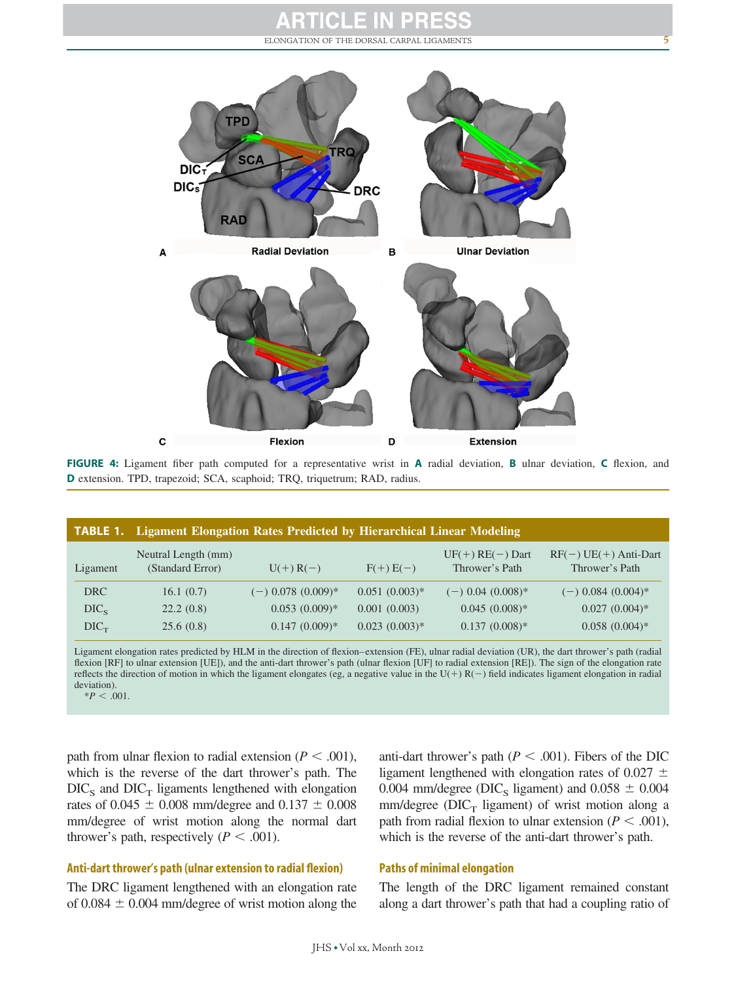



<span id="page-4-0"></span>**FIGURE 4:** Ligament fiber path computed for a representative wrist in **A** radial deviation, **B** ulnar deviation, **C** flexion, and **D** extension. TPD, trapezoid; SCA, scaphoid; TRQ, triquetrum; RAD, radius.

<span id="page-4-1"></span>

| <b>TABLE 1. Ligament Elongation Rates Predicted by Hierarchical Linear Modeling</b> |                      |                 |                                      |                                           |
|-------------------------------------------------------------------------------------|----------------------|-----------------|--------------------------------------|-------------------------------------------|
| Neutral Length (mm)<br>(Standard Error)                                             | $U(+) R(-)$          | $F(+) E(-)$     | $UF(+) RE(-)$ Dart<br>Thrower's Path | $RF(-) UE(+) Anti-Part$<br>Thrower's Path |
| 16.1(0.7)                                                                           | $(-)$ 0.078 (0.009)* | $0.051(0.003)*$ | $(-)$ 0.04 (0.008)*                  | $(-)$ 0.084 (0.004)*                      |
| 22.2(0.8)                                                                           | $0.053(0.009)*$      | 0.001(0.003)    | $0.045(0.008)$ *                     | $0.027(0.004)$ *                          |
| 25.6(0.8)                                                                           | $0.147(0.009)*$      | $0.023(0.003)*$ | $0.137(0.008)*$                      | $0.058(0.004)*$                           |
|                                                                                     |                      |                 |                                      |                                           |

Ligament elongation rates predicted by HLM in the direction of flexion– extension (FE), ulnar radial deviation (UR), the dart thrower's path (radial flexion [RF] to ulnar extension [UE]), and the anti-dart thrower's path (ulnar flexion [UF] to radial extension [RE]). The sign of the elongation rate reflects the direction of motion in which the ligament elongates (eg, a negative value in the  $U(+)R(-)$  field indicates ligament elongation in radial deviation).

 $*P < .001$ .

path from ulnar flexion to radial extension ( $P < .001$ ), which is the reverse of the dart thrower's path. The  $DIC<sub>S</sub>$  and  $DIC<sub>T</sub>$  ligaments lengthened with elongation rates of  $0.045 \pm 0.008$  mm/degree and  $0.137 \pm 0.008$ mm/degree of wrist motion along the normal dart thrower's path, respectively  $(P < .001)$ .

## **Anti-dart thrower's path (ulnar extension to radial flexion)**

The DRC ligament lengthened with an elongation rate of  $0.084 \pm 0.004$  mm/degree of wrist motion along the anti-dart thrower's path  $(P < .001)$ . Fibers of the DIC ligament lengthened with elongation rates of 0.027  $\pm$ 0.004 mm/degree (DIC<sub>S</sub> ligament) and  $0.058 \pm 0.004$  $mm/degree$  (DIC<sub>T</sub> ligament) of wrist motion along a path from radial flexion to ulnar extension ( $P < .001$ ), which is the reverse of the anti-dart thrower's path.

## **Paths of minimal elongation**

The length of the DRC ligament remained constant along a dart thrower's path that had a coupling ratio of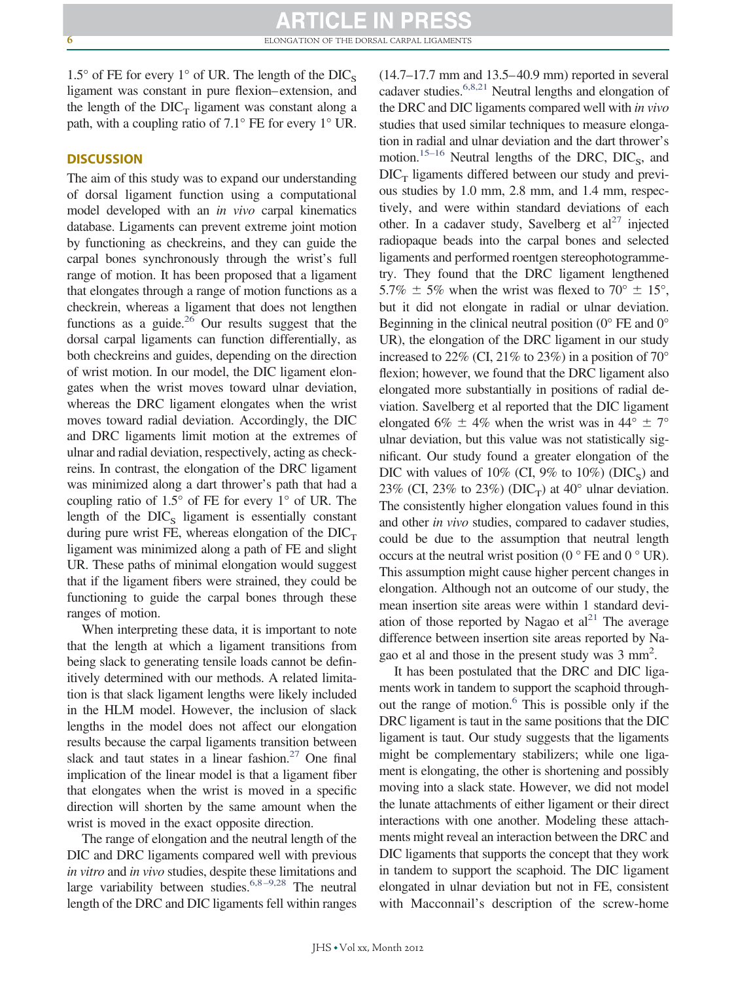$1.5^{\circ}$  of FE for every 1° of UR. The length of the DIC<sub>S</sub> ligament was constant in pure flexion–extension, and the length of the  $\text{DIC}_{\text{T}}$  ligament was constant along a path, with a coupling ratio of 7.1° FE for every 1° UR.

#### **DISCUSSION**

The aim of this study was to expand our understanding of dorsal ligament function using a computational model developed with an *in vivo* carpal kinematics database. Ligaments can prevent extreme joint motion by functioning as checkreins, and they can guide the carpal bones synchronously through the wrist's full range of motion. It has been proposed that a ligament that elongates through a range of motion functions as a checkrein, whereas a ligament that does not lengthen functions as a guide. $26$  Our results suggest that the dorsal carpal ligaments can function differentially, as both checkreins and guides, depending on the direction of wrist motion. In our model, the DIC ligament elongates when the wrist moves toward ulnar deviation, whereas the DRC ligament elongates when the wrist moves toward radial deviation. Accordingly, the DIC and DRC ligaments limit motion at the extremes of ulnar and radial deviation, respectively, acting as checkreins. In contrast, the elongation of the DRC ligament was minimized along a dart thrower's path that had a coupling ratio of 1.5° of FE for every 1° of UR. The length of the  $DIC<sub>S</sub>$  ligament is essentially constant during pure wrist FE, whereas elongation of the  $DIC<sub>T</sub>$ ligament was minimized along a path of FE and slight UR. These paths of minimal elongation would suggest that if the ligament fibers were strained, they could be functioning to guide the carpal bones through these ranges of motion.

When interpreting these data, it is important to note that the length at which a ligament transitions from being slack to generating tensile loads cannot be definitively determined with our methods. A related limitation is that slack ligament lengths were likely included in the HLM model. However, the inclusion of slack lengths in the model does not affect our elongation results because the carpal ligaments transition between slack and taut states in a linear fashion.<sup>27</sup> One final implication of the linear model is that a ligament fiber that elongates when the wrist is moved in a specific direction will shorten by the same amount when the wrist is moved in the exact opposite direction.

The range of elongation and the neutral length of the DIC and DRC ligaments compared well with previous *in vitro* and *in vivo* studies, despite these limitations and large variability between studies. $6,8-9,28$  The neutral length of the DRC and DIC ligaments fell within ranges

 $(14.7–17.7 \text{ mm and } 13.5–40.9 \text{ mm})$  reported in several cadaver studies[.6,8,21](#page-6-14) Neutral lengths and elongation of the DRC and DIC ligaments compared well with *in vivo* studies that used similar techniques to measure elongation in radial and ulnar deviation and the dart thrower's motion.<sup>15–16</sup> Neutral lengths of the DRC,  $DIC<sub>S</sub>$ , and  $DIC<sub>T</sub>$  ligaments differed between our study and previous studies by 1.0 mm, 2.8 mm, and 1.4 mm, respectively, and were within standard deviations of each other. In a cadaver study, Savelberg et  $al^{27}$  injected radiopaque beads into the carpal bones and selected ligaments and performed roentgen stereophotogrammetry. They found that the DRC ligament lengthened 5.7%  $\pm$  5% when the wrist was flexed to 70°  $\pm$  15°, but it did not elongate in radial or ulnar deviation. Beginning in the clinical neutral position  $(0^{\circ} \text{ FE} \text{ and } 0^{\circ})$ UR), the elongation of the DRC ligament in our study increased to 22% (CI, 21% to 23%) in a position of 70° flexion; however, we found that the DRC ligament also elongated more substantially in positions of radial deviation. Savelberg et al reported that the DIC ligament elongated 6%  $\pm$  4% when the wrist was in 44°  $\pm$  7° ulnar deviation, but this value was not statistically significant. Our study found a greater elongation of the DIC with values of 10% (CI, 9% to 10%) (DIC<sub>S</sub>) and 23% (CI, 23% to 23%) (DIC<sub>T</sub>) at 40° ulnar deviation. The consistently higher elongation values found in this and other *in vivo* studies, compared to cadaver studies, could be due to the assumption that neutral length occurs at the neutral wrist position ( $0^\circ$  FE and  $0^\circ$  UR). This assumption might cause higher percent changes in elongation. Although not an outcome of our study, the mean insertion site areas were within 1 standard deviation of those reported by Nagao et  $al<sup>21</sup>$  The average difference between insertion site areas reported by Nagao et al and those in the present study was 3 mm2 .

It has been postulated that the DRC and DIC ligaments work in tandem to support the scaphoid throughout the range of motion.<sup>6</sup> This is possible only if the DRC ligament is taut in the same positions that the DIC ligament is taut. Our study suggests that the ligaments might be complementary stabilizers; while one ligament is elongating, the other is shortening and possibly moving into a slack state. However, we did not model the lunate attachments of either ligament or their direct interactions with one another. Modeling these attachments might reveal an interaction between the DRC and DIC ligaments that supports the concept that they work in tandem to support the scaphoid. The DIC ligament elongated in ulnar deviation but not in FE, consistent with Macconnail's description of the screw-home